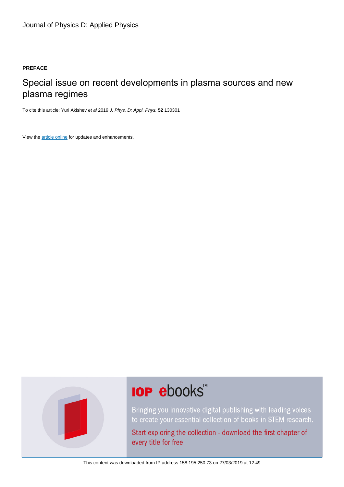### **PREFACE**

## Special issue on recent developments in plasma sources and new plasma regimes

To cite this article: Yuri Akishev et al 2019 J. Phys. D: Appl. Phys. **52** 130301

View the [article online](https://doi.org/10.1088/1361-6463/ab0004) for updates and enhancements.



# **IOP ebooks™**

Bringing you innovative digital publishing with leading voices to create your essential collection of books in STEM research.

Start exploring the collection - download the first chapter of every title for free.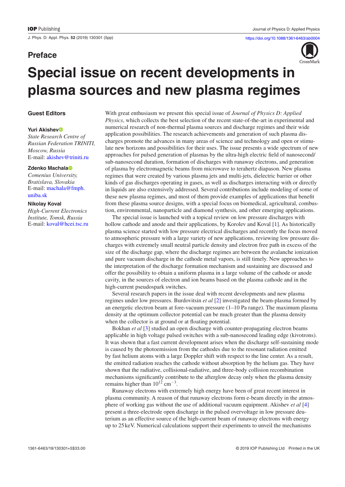### **Preface**



# **Special issue on recent developments in plasma sources and new plasma regimes**

#### **Guest Editors**

#### **Yuri Akishe[v](https://orcid.org/0000-0001-8379-5782)**

*State Research Centre of Russian Federation TRINITI, Moscow, Russia* E-mail: [akishev@triniti.ru](mailto:akishev@triniti.ru)

#### **Zdenko Machala**

*Comenius University, Bratislava, Slovakia* E-mail: [machala@fmph.](mailto:machala@fmph.uniba.sk) [uniba.sk](mailto:machala@fmph.uniba.sk)

#### **Nikolay Koval**

*High-Current Electronics Institute, Tomsk, Russia* E-mail: [koval@hcei.tsc.ru](mailto:koval@hcei.tsc.ru) With great enthusiasm we present this special issue of *Journal of Physics D: Applied Physics*, which collects the best selection of the recent state-of-the-art in experimental and numerical research of non-thermal plasma sources and discharge regimes and their wide application possibilities. The research achievements and generation of such plasma discharges promote the advances in many areas of science and technology and open or stimulate new horizons and possibilities for their uses. The issue presents a wide spectrum of new approaches for pulsed generation of plasmas by the ultra-high electric field of nanosecond/ sub-nanosecond duration, formation of discharges with runaway electrons, and generation of plasma by electromagnetic beams from microwave to terahertz diapason. New plasma regimes that were created by various plasma jets and multi-jets, dielectric barrier or other kinds of gas discharges operating in gases, as well as discharges interacting with or directly in liquids are also extensively addressed. Several contributions include modeling of some of these new plasma regimes, and most of them provide examples of applications that benefit from these plasma source designs, with a special focus on biomedical, agricultural, combustion, environmental, nanoparticle and diamond synthesis, and other emerging applications.

The special issue is launched with a topical review on low pressure discharges with hollow cathode and anode and their applications, by Korolev and Koval [\[1](#page-4-0)]. As historically plasma science started with low pressure electrical discharges and recently the focus moved to atmospheric pressure with a large variety of new applications, reviewing low pressure discharges with extremely small neutral particle density and electron free path in excess of the size of the discharge gap, where the discharge regimes are between the avalanche ionization and pure vacuum discharge in the cathode metal vapors, is still timely. New approaches to the interpretation of the discharge formation mechanism and sustaining are discussed and offer the possibility to obtain a uniform plasma in a large volume of the cathode or anode cavity, in the sources of electron and ion beams based on the plasma cathode and in the high-current pseudospark switches.

Several research papers in the issue deal with recent developments and new plasma regimes under low pressures. Burdovitsin *et al* [\[2](#page-4-1)] investigated the beam-plasma formed by an energetic electron beam at fore-vacuum pressure (1–10 Pa range). The maximum plasma density at the optimum collector potential can be much greater than the plasma density when the collector is at ground or at floating potential.

Bokhan *et al* [[3\]](#page-4-2) studied an open discharge with counter-propagating electron beams applicable in high voltage pulsed switches with a sub-nanosecond leading edge (kivotrons). It was shown that a fast current development arises when the discharge self-sustaining mode is caused by the photoemission from the cathodes due to the resonant radiation emitted by fast helium atoms with a large Doppler shift with respect to the line center. As a result, the emitted radiation reaches the cathode without absorption by the helium gas. They have shown that the radiative, collisional-radiative, and three-body collision recombination mechanisms significantly contribute to the afterglow decay only when the plasma density remains higher than  $10^{12}$  cm<sup>-3</sup>.

Runaway electrons with extremely high energy have been of great recent interest in plasma community. A reason of that runaway electrons form e-beam directly in the atmosphere of working gas without the use of additional vacuum equipment. Akishev *et al* [\[4](#page-5-0)] present a three-electrode open discharge in the pulsed overvoltage in low pressure deuterium as an effective source of the high-current beam of runaway electrons with energy up to 25 keV. Numerical calculations support their experiments to unveil the mechanisms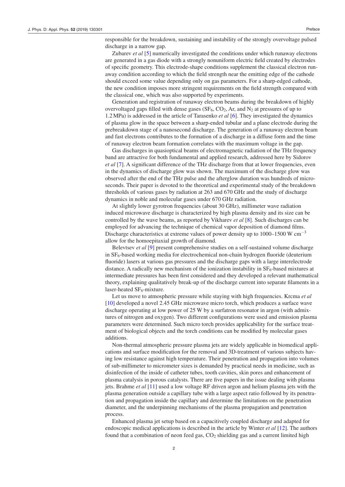responsible for the breakdown, sustaining and instability of the strongly overvoltage pulsed discharge in a narrow gap.

Zubarev *et al* [[5\]](#page-5-2) numerically investigated the conditions under which runaway electrons are generated in a gas diode with a strongly nonuniform electric field created by electrodes of specific geometry. This electrode-shape conditions supplement the classical electron runaway condition according to which the field strength near the emitting edge of the cathode should exceed some value depending only on gas parameters. For a sharp-edged cathode, the new condition imposes more stringent requirements on the field strength compared with the classical one, which was also supported by experiments.

Generation and registration of runaway electron beams during the breakdown of highly overvoltaged gaps filled with dense gases  $(SF_6, CO_2, Ar, and N_2$  at pressures of up to 1.2MPa) is addressed in the article of Tarasenko *et al* [[6\]](#page-5-3). They investigated the dynamics of plasma glow in the space between a sharp-ended tubular and a plane electrode during the prebreakdown stage of a nanosecond discharge. The generation of a runaway electron beam and fast electrons contributes to the formation of a discharge in a diffuse form and the time of runaway electron beam formation correlates with the maximum voltage in the gap.

Gas discharges in quasioptical beams of electromagnetic radiation of the THz frequency band are attractive for both fundamental and applied research, addressed here by Sidorov *et al* [[7\]](#page-5-4). A significant difference of the THz discharge from that at lower frequencies, even in the dynamics of discharge glow was shown. The maximum of the discharge glow was observed after the end of the THz pulse and the afterglow duration was hundreds of microseconds. Their paper is devoted to the theoretical and experimental study of the breakdown thresholds of various gases by radiation at 263 and 670 GHz and the study of discharge dynamics in noble and molecular gases under 670 GHz radiation.

At slightly lower gyrotron frequencies (about 30 GHz), millimeter wave radiation induced microwave discharge is characterized by high plasma density and its size can be controlled by the wave beams, as reported by Vikharev *et al* [\[8](#page-5-5)]. Such discharges can be employed for advancing the technique of chemical vapor deposition of diamond films. Discharge characteristics at extreme values of power density up to 1000–1500 W cm−<sup>3</sup> allow for the homoepitaxial growth of diamond.

Belevtsev *et al* [\[9](#page-5-6)] present comprehensive studies on a self-sustained volume discharge in  $SF<sub>6</sub>$ -based working media for electrochemical non-chain hydrogen fluoride (deuterium fluoride) lasers at various gas pressures and the discharge gaps with a large interelectrode distance. A radically new mechanism of the ionization instability in  $SF<sub>6</sub>$ -based mixtures at intermediate pressures has been first considered and they developed a relevant mathematical theory, explaining qualitatively break-up of the discharge current into separate filaments in a laser-heated  $SF_6$ -mixture.

Let us move to atmospheric pressure while staying with high frequencies. Krcma *et al* [[10\]](#page-5-7) developed a novel 2.45 GHz microwave micro torch, which produces a surface wave discharge operating at low power of 25 W by a surfatron resonator in argon (with admixtures of nitrogen and oxygen). Two different configurations were used and emission plasma parameters were determined. Such micro torch provides applicability for the surface treatment of biological objects and the torch conditions can be modified by molecular gases additions.

Non-thermal atmospheric pressure plasma jets are widely applicable in biomedical applications and surface modification for the removal and 3D-treatment of various subjects having low resistance against high temperature. Their penetration and propagation into volumes of sub-millimeter to micrometer sizes is demanded by practical needs in medicine, such as disinfection of the inside of catheter tubes, tooth cavities, skin pores and enhancement of plasma catalysis in porous catalysts. There are five papers in the issue dealing with plasma jets. Brahme *et al* [[11\]](#page-5-8) used a low voltage RF driven argon and helium plasma jets with the plasma generation outside a capillary tube with a large aspect ratio followed by its penetration and propagation inside the capillary and determine the limitations on the penetration diameter, and the underpinning mechanisms of the plasma propagation and penetration process.

Enhanced plasma jet setup based on a capacitively coupled discharge and adapted for endoscopic medical applications is described in the article by Winter *et al* [[12\]](#page-5-9). The authors found that a combination of neon feed gas,  $CO<sub>2</sub>$  shielding gas and a current limited high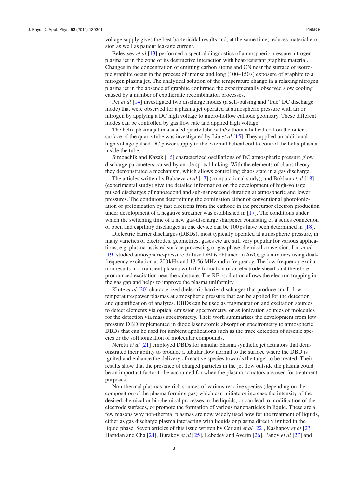voltage supply gives the best bactericidal results and, at the same time, reduces material erosion as well as patient leakage current.

Belevtsev *et al* [\[13](#page-5-10)] performed a spectral diagnostics of atmospheric pressure nitrogen plasma jet in the zone of its destructive interaction with heat-resistant graphite material. Changes in the concentration of emitting carbon atoms and CN near the surface of isotropic graphite occur in the process of intense and long (100–150s) exposure of graphite to a nitrogen plasma jet. The analytical solution of the temperature change in a relaxing nitrogen plasma jet in the absence of graphite confirmed the experimentally observed slow cooling caused by a number of exothermic recombination processes.

Pei *et al* [\[14](#page-5-11)] investigated two discharge modes (a self-pulsing and 'true' DC discharge mode) that were observed for a plasma jet operated at atmospheric pressure with air or nitrogen by applying a DC high voltage to micro-hollow cathode geometry. These different modes can be controlled by gas flow rate and applied high voltage.

The helix plasma jet in a sealed quartz tube with/without a helical coil on the outer surface of the quartz tube was investigated by Liu *et al* [\[15](#page-5-12)]. They applied an additional high voltage pulsed DC power supply to the external helical coil to control the helix plasma inside the tube.

Simonchik and Kazak [[16\]](#page-5-13) characterized oscillations of DC atmospheric pressure glow discharge parameters caused by anode spots blinking. With the elements of chaos theory they demonstrated a mechanism, which allows controlling chaos state in a gas discharge.

The articles written by Babaeva *et al* [\[17](#page-5-14)] (computational study), and Bokhan *et al* [[18\]](#page-5-15) (experimental study) give the detailed information on the development of high-voltage pulsed discharges of nanosecond and sub-nanosecond duration at atmospheric and lower pressures. The conditions determining the domination either of conventional photoionization or preionization by fast electrons from the cathode in the precursor electron production under development of a negative streamer was established in [[17\]](#page-5-14). The conditions under which the switching time of a new gas-discharge sharpener consisting of a series connection of open and capillary discharges in one device can be 100 ps have been determined in [\[18](#page-5-15)].

Dielectric barrier discharges (DBDs), most typically operated at atmospheric pressure, in many varieties of electrodes, geometries, gases etc are still very popular for various applications, e.g. plasma-assisted surface processing or gas phase chemical conversion. Liu *et al* [[19\]](#page-5-16) studied atmospheric-pressure diffuse DBDs obtained in  $Ar/O<sub>2</sub>$  gas mixtures using dualfrequency excitation at 200 kHz and 13.56 MHz radio frequency. The low frequency excitation results in a transient plasma with the formation of an electrode sheath and therefore a pronounced excitation near the substrate. The RF oscillation allows the electron trapping in the gas gap and helps to improve the plasma uniformity.

Klute *et al* [[20\]](#page-5-17) characterized dielectric barrier discharges that produce small, low temperature/power plasmas at atmospheric pressure that can be applied for the detection and quantification of analytes. DBDs can be used as fragmentation and excitation sources to detect elements via optical emission spectrometry, or as ionization sources of molecules for the detection via mass spectrometry. Their work summarizes the development from low pressure DBD implemented in diode laser atomic absorption spectrometry to atmospheric DBDs that can be used for ambient applications such as the trace detection of arsenic species or the soft ionization of molecular compounds.

Neretti *et al* [\[21](#page-5-18)] employed DBDs for annular plasma synthetic jet actuators that demonstrated their ability to produce a tubular flow normal to the surface where the DBD is ignited and enhance the delivery of reactive species towards the target to be treated. Their results show that the presence of charged particles in the jet flow outside the plasma could be an important factor to be accounted for when the plasma actuators are used for treatment purposes.

Non-thermal plasmas are rich sources of various reactive species (depending on the composition of the plasma forming gas) which can initiate or increase the intensity of the desired chemical or biochemical processes in the liquids, or can lead to modification of the electrode surfaces, or promote the formation of various nanoparticles in liquid. These are a few reasons why non-thermal plasmas are now widely used now for the treatment of liquids, either as gas discharge plasma interacting with liquids or plasma directly ignited in the liquid phase. Seven articles of this issue written by Ceriani *et al* [\[22](#page-5-19)], Kashapov *et al* [\[23](#page-5-20)], Hamdan and Cha [[24\]](#page-5-21), Burakov *et al* [\[25](#page-5-22)], Lebedev and Averin [\[26](#page-5-23)], Panov *et al* [\[27](#page-5-24)] and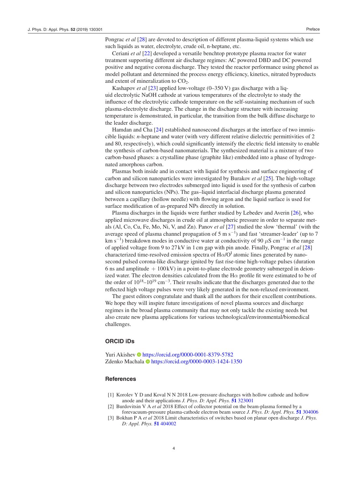Pongrac *et al* [\[28](#page-5-25)] are devoted to description of different plasma-liquid systems which use such liquids as water, electrolyte, crude oil, n-heptane, etc.

Ceriani *et al* [[22\]](#page-5-19) developed a versatile benchtop prototype plasma reactor for water treatment supporting different air discharge regimes: AC powered DBD and DC powered positive and negative corona discharge. They tested the reactor performance using phenol as model pollutant and determined the process energy efficiency, kinetics, nitrated byproducts and extent of mineralization to  $CO<sub>2</sub>$ .

Kashapov *et al* [\[23](#page-5-20)] applied low-voltage (0–350 V) gas discharge with a liquid electrolytic NaOH cathode at various temperatures of the electrolyte to study the influence of the electrolytic cathode temperature on the self-sustaining mechanism of such plasma-electrolyte discharge. The change in the discharge structure with increasing temperature is demonstrated, in particular, the transition from the bulk diffuse discharge to the leader discharge.

Hamdan and Cha [[24\]](#page-5-21) established nanosecond discharges at the interface of two immiscible liquids: *n*-heptane and water (with very different relative dielectric permittivities of 2 and 80, respectively), which could significantly intensify the electric field intensity to enable the synthesis of carbon-based nanomaterials. The synthesized material is a mixture of two carbon-based phases: a crystalline phase (graphite like) embedded into a phase of hydrogenated amorphous carbon.

Plasmas both inside and in contact with liquid for synthesis and surface engineering of carbon and silicon nanoparticles were investigated by Burakov *et al* [[25\]](#page-5-22). The high-voltage discharge between two electrodes submerged into liquid is used for the synthesis of carbon and silicon nanoparticles (NPs). The gas–liquid interfacial discharge plasma generated between a capillary (hollow needle) with flowing argon and the liquid surface is used for surface modification of as-prepared NPs directly in solution.

Plasma discharges in the liquids were further studied by Lebedev and Averin [[26\]](#page-5-23), who applied microwave discharges in crude oil at atmospheric pressure in order to separate metals (Al, Co, Cu, Fe, Mo, Ni, V, and Zn). Panov *et al* [\[27](#page-5-24)] studied the slow 'thermal' (with the average speed of plasma channel propagation of 5 m s<sup>-1</sup>) and fast 'streamer-leader' (up to 7 km s<sup>-1</sup>) breakdown modes in conductive water at conductivity of 90  $\mu$ S cm<sup>-1</sup> in the range of applied voltage from 9 to 27 kV in 1cm gap with pin anode. Finally, Pongrac *et al* [[28\]](#page-5-25) characterized time-resolved emission spectra of  $H\alpha/O<sup>I</sup>$  atomic lines generated by nanosecond pulsed corona-like discharge ignited by fast rise-time high-voltage pulses (duration 6 ns and amplitude  $+100$  kV) in a point-to-plane electrode geometry submerged in deionized water. The electron densities calculated from the  $H\alpha$  profile fit were estimated to be of the order of  $10^{18}$ – $10^{19}$  cm<sup>-3</sup>. Their results indicate that the discharges generated due to the reflected high voltage pulses were very likely generated in the non-relaxed environment.

The guest editors congratulate and thank all the authors for their excellent contributions. We hope they will inspire future investigations of novel plasma sources and discharge regimes in the broad plasma community that may not only tackle the existing needs but also create new plasma applications for various technological/environmental/biomedical challenges.

#### **ORCID iDs**

Yuri Akishev •<https://orcid.org/0000-0001-8379-5782> Zdenko Machala<https://orcid.org/0000-0003-1424-1350>

#### **References**

- <span id="page-4-0"></span>[1] Korolev Y D and Koval N N 2018 Low-pressure discharges with hollow cathode and hollow anode and their applications *J. Phys. D: Appl. Phys.* **[51](https://doi.org/10.1088/1361-6463/aacf10)** [323001](https://doi.org/10.1088/1361-6463/aacf10)
- <span id="page-4-1"></span>[2] Burdovitsin V A *et al* 2018 Effect of collector potential on the beam-plasma formed by a forevacuum-pressure plasma-cathode electron beam source *J. Phys. D: Appl. Phys.* **[51](https://doi.org/10.1088/1361-6463/aace4a)** [304006](https://doi.org/10.1088/1361-6463/aace4a)
- <span id="page-4-2"></span>[3] Bokhan P A *et al* 2018 Limit characteristics of switches based on planar open discharge *J. Phys. D: Appl. Phys.* **[51](https://doi.org/10.1088/1361-6463/aad73f)** [404002](https://doi.org/10.1088/1361-6463/aad73f)